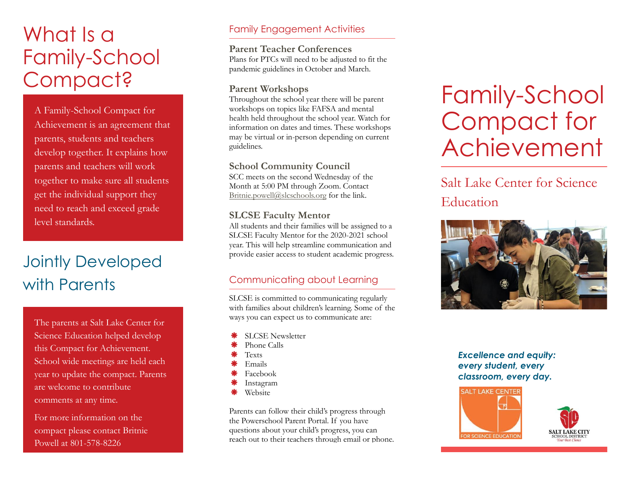# What Is a Family-School Compact?

A Family-School Compact for Achievement is an agreement that parents, students and teachers develop together. It explains how parents and teachers will work together to make sure all students get the individual support they need to reach and exceed grade level standards.

## Jointly Developed with Parents

The parents at Salt Lake Center for Science Education helped develop this Compact for Achievement. School wide meetings are held each year to update the compact. Parents are welcome to contribute comments at any time.

For more information on the compact please contact Britnie Powell at 801-578-8226

#### Family Engagement Activities

**Parent Teacher Conferences** Plans for PTCs will need to be adjusted to fit the pandemic guidelines in October and March.

#### **Parent Workshops**

Throughout the school year there will be parent workshops on topics like FAFSA and mental health held throughout the school year. Watch for information on dates and times. These workshops may be virtual or in-person depending on current guidelines.

#### **School Community Council**

SCC meets on the second Wednesday of the Month at 5:00 PM through Zoom. Contact [Britnie.powell@slcschools.org](mailto:Britnie.powell@slcschools.org) for the link.

#### **SLCSE Faculty Mentor**

All students and their families will be assigned to a SLCSE Faculty Mentor for the 2020-2021 school year. This will help streamline communication and provide easier access to student academic progress.

#### Communicating about Learning

SLCSE is committed to communicating regularly with families about children's learning. Some of the ways you can expect us to communicate are:

- SLCSE Newsletter
- Phone Calls
- Texts
- Emails
- Facebook
- Instagram
- Website

Parents can follow their child's progress through the Powerschool Parent Portal. If you have questions about your child's progress, you can reach out to their teachers through email or phone.

# Family-School Compact for Achievement

### Salt Lake Center for Science Education



*Excellence and equity: every student, every classroom, every day.*